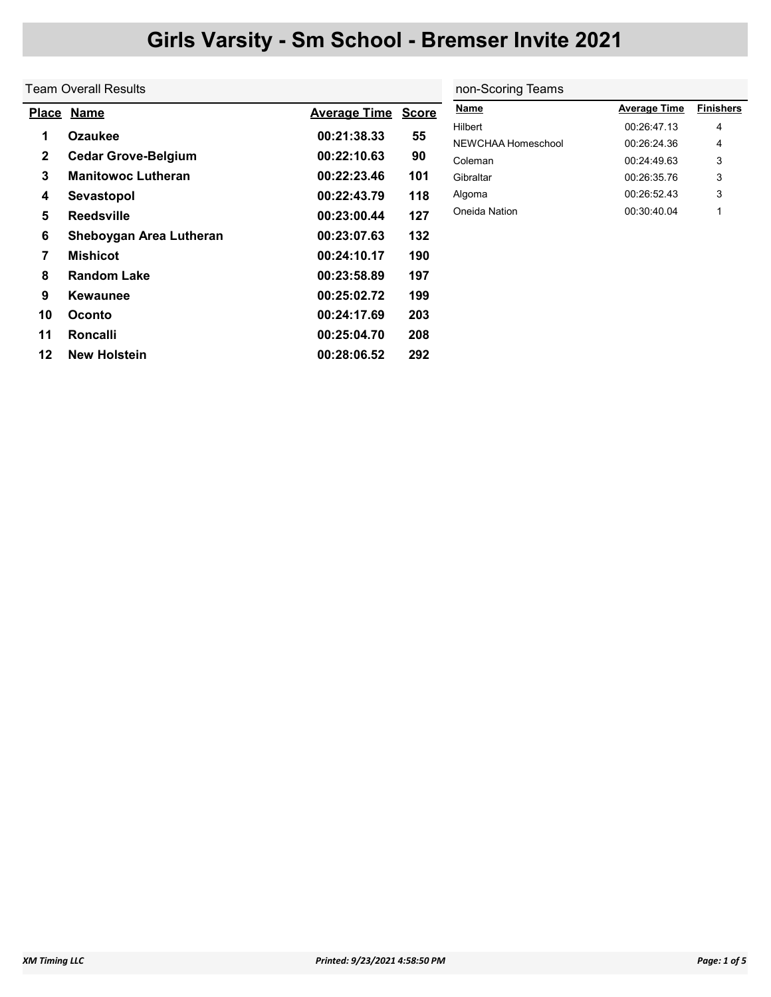|              | Team Overall Results       |                     |              | non-Scoring Teams  |                     |                  |  |
|--------------|----------------------------|---------------------|--------------|--------------------|---------------------|------------------|--|
|              | Place Name                 | <b>Average Time</b> | <b>Score</b> | <b>Name</b>        | <b>Average Time</b> | <b>Finishers</b> |  |
| 1            | <b>Ozaukee</b>             | 00:21:38.33         | 55           | Hilbert            | 00:26:47.13         | 4                |  |
|              |                            |                     |              | NEWCHAA Homeschool | 00:26:24.36         | 4                |  |
| $\mathbf{2}$ | <b>Cedar Grove-Belgium</b> | 00:22:10.63         | 90           | Coleman            | 00:24:49.63         | 3                |  |
| 3            | <b>Manitowoc Lutheran</b>  | 00:22:23.46         | 101          | Gibraltar          | 00:26:35.76         | 3                |  |
| 4            | Sevastopol                 | 00:22:43.79         | 118          | Algoma             | 00:26:52.43         | 3                |  |
| 5            | <b>Reedsville</b>          | 00:23:00.44         | 127          | Oneida Nation      | 00:30:40.04         | 1                |  |
| 6            | Sheboygan Area Lutheran    | 00:23:07.63         | 132          |                    |                     |                  |  |
| 7            | <b>Mishicot</b>            | 00:24:10.17         | 190          |                    |                     |                  |  |
| 8            | <b>Random Lake</b>         | 00:23:58.89         | 197          |                    |                     |                  |  |
| 9            | <b>Kewaunee</b>            | 00:25:02.72         | 199          |                    |                     |                  |  |
| 10           | <b>Oconto</b>              | 00:24:17.69         | 203          |                    |                     |                  |  |
| 11           | <b>Roncalli</b>            | 00:25:04.70         | 208          |                    |                     |                  |  |
| 12           | <b>New Holstein</b>        | 00:28:06.52         | 292          |                    |                     |                  |  |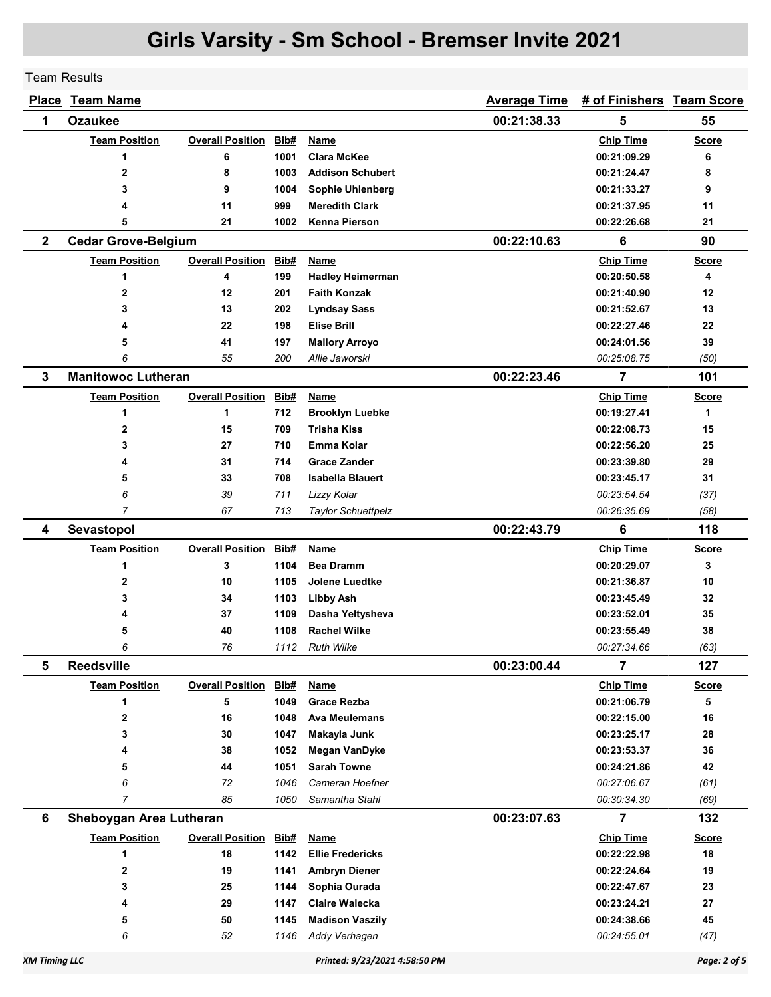Team Results

|              | <b>Place Team Name</b>     |                              |              |                                         | <b>Average Time</b> | # of Finishers Team Score  |              |
|--------------|----------------------------|------------------------------|--------------|-----------------------------------------|---------------------|----------------------------|--------------|
| 1            | <b>Ozaukee</b>             |                              |              |                                         | 00:21:38.33         | 5                          | 55           |
|              | <b>Team Position</b>       | <b>Overall Position</b>      | Bib#         | <b>Name</b>                             |                     | <b>Chip Time</b>           | <b>Score</b> |
|              | 1                          | 6                            | 1001         | <b>Clara McKee</b>                      |                     | 00:21:09.29                | 6            |
|              | $\mathbf 2$                | 8                            | 1003         | <b>Addison Schubert</b>                 |                     | 00:21:24.47                | 8            |
|              | 3                          | 9                            | 1004         | <b>Sophie Uhlenberg</b>                 |                     | 00:21:33.27                | 9            |
|              | 4                          | 11                           | 999          | <b>Meredith Clark</b>                   |                     | 00:21:37.95                | 11           |
|              | 5                          | 21                           | 1002         | <b>Kenna Pierson</b>                    |                     | 00:22:26.68                | 21           |
| $\mathbf{2}$ | <b>Cedar Grove-Belgium</b> |                              |              |                                         | 00:22:10.63         | 6                          | 90           |
|              | <b>Team Position</b>       | <b>Overall Position</b>      | Bib#         | <u>Name</u>                             |                     | <b>Chip Time</b>           | <b>Score</b> |
|              | 1                          | 4                            | 199          | <b>Hadley Heimerman</b>                 |                     | 00:20:50.58                | 4            |
|              | $\mathbf 2$                | 12                           | 201          | <b>Faith Konzak</b>                     |                     | 00:21:40.90                | 12           |
|              | 3                          | 13                           | 202          | <b>Lyndsay Sass</b>                     |                     | 00:21:52.67                | 13           |
|              | 4                          | 22                           | 198          | Elise Brill                             |                     | 00:22:27.46                | 22           |
|              | 5                          | 41                           | 197          | <b>Mallory Arroyo</b>                   |                     | 00:24:01.56                | 39           |
|              | 6                          | 55                           | 200          | Allie Jaworski                          |                     | 00:25:08.75                | (50)         |
| 3            | <b>Manitowoc Lutheran</b>  |                              |              |                                         | 00:22:23.46         | 7                          | 101          |
|              | <b>Team Position</b>       | <b>Overall Position</b>      | Bib#         | <b>Name</b>                             |                     | <b>Chip Time</b>           | <b>Score</b> |
|              | 1                          | 1                            | 712          | <b>Brooklyn Luebke</b>                  |                     | 00:19:27.41                | 1            |
|              | $\mathbf{2}$               | 15                           | 709          | <b>Trisha Kiss</b>                      |                     | 00:22:08.73                | 15           |
|              | 3                          | 27                           | 710          | Emma Kolar                              |                     | 00:22:56.20                | 25           |
|              | 4                          | 31                           | 714          | <b>Grace Zander</b>                     |                     | 00:23:39.80                | 29           |
|              | 5                          | 33                           | 708          | <b>Isabella Blauert</b>                 |                     | 00:23:45.17                | 31           |
|              | 6                          | 39                           | 711          | Lizzy Kolar                             |                     | 00:23:54.54                | (37)         |
|              | $\overline{7}$             | 67                           | 713          | <b>Taylor Schuettpelz</b>               |                     | 00:26:35.69                | (58)         |
| 4            | Sevastopol                 |                              |              |                                         | 00:22:43.79         | 6                          | 118          |
|              | <b>Team Position</b>       | <b>Overall Position</b>      | Bib#         | <b>Name</b>                             |                     | <b>Chip Time</b>           | <b>Score</b> |
|              | 1                          | 3                            | 1104         | <b>Bea Dramm</b>                        |                     | 00:20:29.07                | 3            |
|              | $\mathbf 2$                | 10                           | 1105         | <b>Jolene Luedtke</b>                   |                     | 00:21:36.87                | 10           |
|              | 3                          | 34                           | 1103         | <b>Libby Ash</b>                        |                     | 00:23:45.49                | 32           |
|              | 4                          | 37                           | 1109         | Dasha Yeltysheva                        |                     | 00:23:52.01                | 35           |
|              | 5                          | 40                           | 1108         | <b>Rachel Wilke</b>                     |                     | 00:23:55.49                | 38           |
|              | 6                          | 76                           | 1112         | <b>Ruth Wilke</b>                       |                     | 00:27:34.66                | (63)         |
| 5            | <b>Reedsville</b>          |                              |              |                                         | 00:23:00.44         | 7                          | 127          |
|              | <b>Team Position</b>       | <b>Overall Position Bib#</b> |              | <b>Name</b>                             |                     | <b>Chip Time</b>           | <b>Score</b> |
|              | 1                          | 5                            | 1049         | <b>Grace Rezba</b>                      |                     | 00:21:06.79                | 5            |
|              | $\mathbf 2$                | 16                           | 1048         | <b>Ava Meulemans</b>                    |                     | 00:22:15.00                | 16           |
|              | 3                          | 30                           | 1047         | Makayla Junk                            |                     | 00:23:25.17                | 28           |
|              | 4                          | 38                           | 1052         | <b>Megan VanDyke</b>                    |                     | 00:23:53.37                | 36           |
|              | 5                          | 44                           | 1051         | <b>Sarah Towne</b>                      |                     | 00:24:21.86                | 42           |
|              | 6                          | 72                           | 1046         | Cameran Hoefner                         |                     | 00:27:06.67                | (61)         |
|              | 7                          | 85                           | 1050         | Samantha Stahl                          |                     | 00:30:34.30                | (69)         |
| 6            | Sheboygan Area Lutheran    |                              |              |                                         | 00:23:07.63         | $\overline{7}$             | 132          |
|              | <b>Team Position</b>       | <b>Overall Position</b>      | Bib#         | <u>Name</u>                             |                     | <b>Chip Time</b>           | <b>Score</b> |
|              | 1                          | 18                           | 1142         | <b>Ellie Fredericks</b>                 |                     | 00:22:22.98                | 18           |
|              | 2                          | 19                           | 1141         | <b>Ambryn Diener</b>                    |                     | 00:22:24.64                | 19           |
|              |                            |                              |              |                                         |                     |                            |              |
|              | 3                          | 25                           | 1144         | Sophia Ourada                           |                     | 00:22:47.67                | 23           |
|              | 4                          | 29                           | 1147         | <b>Claire Walecka</b>                   |                     | 00:23:24.21                | 27           |
|              | 5<br>6                     | 50<br>52                     | 1145<br>1146 | <b>Madison Vaszily</b><br>Addy Verhagen |                     | 00:24:38.66<br>00:24:55.01 | 45<br>(47)   |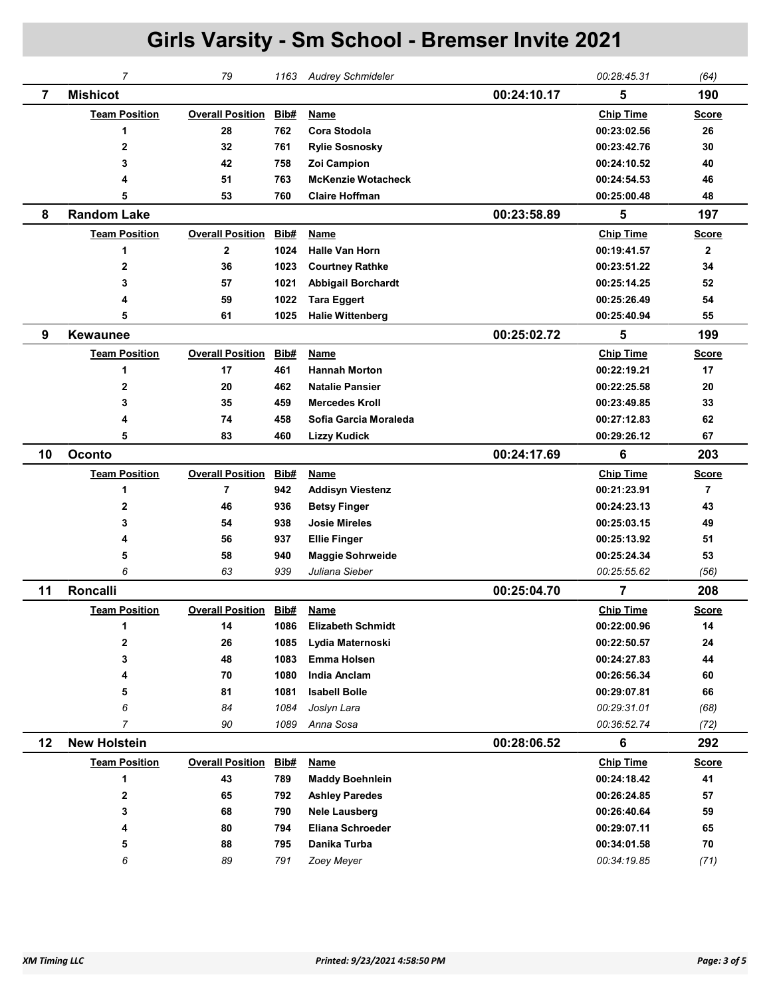|    | $\overline{7}$       | 79                      | 1163        | <b>Audrey Schmideler</b>  |             | 00:28:45.31      | (64)           |
|----|----------------------|-------------------------|-------------|---------------------------|-------------|------------------|----------------|
| 7  | <b>Mishicot</b>      |                         |             |                           | 00:24:10.17 | 5                | 190            |
|    | <b>Team Position</b> | <b>Overall Position</b> | Bib#        | Name                      |             | <b>Chip Time</b> | <b>Score</b>   |
|    | 1                    | 28                      | 762         | <b>Cora Stodola</b>       |             | 00:23:02.56      | 26             |
|    | 2                    | 32                      | 761         | <b>Rylie Sosnosky</b>     |             | 00:23:42.76      | 30             |
|    | 3                    | 42                      | 758         | Zoi Campion               |             | 00:24:10.52      | 40             |
|    | 4                    | 51                      | 763         | <b>McKenzie Wotacheck</b> |             | 00:24:54.53      | 46             |
|    | 5                    | 53                      | 760         | <b>Claire Hoffman</b>     |             | 00:25:00.48      | 48             |
| 8  | <b>Random Lake</b>   |                         |             |                           | 00:23:58.89 | 5                | 197            |
|    | <b>Team Position</b> | <b>Overall Position</b> | <b>Bib#</b> | Name                      |             | <b>Chip Time</b> | <b>Score</b>   |
|    | 1                    | $\mathbf{2}$            | 1024        | <b>Halle Van Horn</b>     |             | 00:19:41.57      | $\mathbf{2}$   |
|    | $\overline{2}$       | 36                      | 1023        | <b>Courtney Rathke</b>    |             | 00:23:51.22      | 34             |
|    | 3                    | 57                      | 1021        | <b>Abbigail Borchardt</b> |             | 00:25:14.25      | 52             |
|    | 4                    | 59                      | 1022        | <b>Tara Eggert</b>        |             | 00:25:26.49      | 54             |
|    | 5                    | 61                      | 1025        | <b>Halie Wittenberg</b>   |             | 00:25:40.94      | 55             |
| 9  | <b>Kewaunee</b>      |                         |             |                           | 00:25:02.72 | 5                | 199            |
|    | <b>Team Position</b> | <b>Overall Position</b> | Bib#        | Name                      |             | <b>Chip Time</b> | <b>Score</b>   |
|    | 1                    | 17                      | 461         | <b>Hannah Morton</b>      |             | 00:22:19.21      | 17             |
|    | 2                    | 20                      | 462         | <b>Natalie Pansier</b>    |             | 00:22:25.58      | 20             |
|    | 3                    | 35                      | 459         | <b>Mercedes Kroll</b>     |             | 00:23:49.85      | 33             |
|    | 4                    | 74                      | 458         | Sofia Garcia Moraleda     |             | 00:27:12.83      | 62             |
|    | 5                    | 83                      | 460         | <b>Lizzy Kudick</b>       |             | 00:29:26.12      | 67             |
| 10 | Oconto               |                         |             |                           | 00:24:17.69 | 6                | 203            |
|    | <b>Team Position</b> | <b>Overall Position</b> | Bib#        | <b>Name</b>               |             | <b>Chip Time</b> | <u>Score</u>   |
|    | 1                    | $\overline{7}$          | 942         | <b>Addisyn Viestenz</b>   |             | 00:21:23.91      | $\overline{7}$ |
|    | 2                    | 46                      | 936         | <b>Betsy Finger</b>       |             | 00:24:23.13      | 43             |
|    | 3                    | 54                      | 938         | <b>Josie Mireles</b>      |             | 00:25:03.15      | 49             |
|    | 4                    | 56                      | 937         | <b>Ellie Finger</b>       |             | 00:25:13.92      | 51             |
|    | 5                    | 58                      | 940         | <b>Maggie Sohrweide</b>   |             | 00:25:24.34      | 53             |
|    | 6                    | 63                      | 939         | Juliana Sieber            |             | 00:25:55.62      | (56)           |
| 11 | Roncalli             |                         |             |                           | 00:25:04.70 | $\overline{7}$   | 208            |
|    | <b>Team Position</b> | <b>Overall Position</b> | Bib#        | <b>Name</b>               |             | <b>Chip Time</b> | <u>Score</u>   |
|    | 1                    | 14                      | 1086        | <b>Elizabeth Schmidt</b>  |             | 00:22:00.96      | 14             |
|    | 2                    | 26                      | 1085        | Lydia Maternoski          |             | 00:22:50.57      | 24             |
|    | 3                    | 48                      | 1083        | <b>Emma Holsen</b>        |             | 00:24:27.83      | 44             |
|    | 4                    | 70                      | 1080        | India Anclam              |             | 00:26:56.34      | 60             |
|    | 5                    | 81                      | 1081        | <b>Isabell Bolle</b>      |             | 00:29:07.81      | 66             |
|    | 6                    | 84                      | 1084        | Joslyn Lara               |             | 00:29:31.01      | (68)           |
|    | 7                    | 90                      | 1089        | Anna Sosa                 |             | 00:36:52.74      | (72)           |
| 12 | <b>New Holstein</b>  |                         |             |                           | 00:28:06.52 | 6                | 292            |
|    | <b>Team Position</b> | <b>Overall Position</b> | Bib#        | <b>Name</b>               |             | <b>Chip Time</b> | <b>Score</b>   |
|    | 1                    | 43                      | 789         | <b>Maddy Boehnlein</b>    |             | 00:24:18.42      | 41             |
|    | 2                    | 65                      | 792         | <b>Ashley Paredes</b>     |             | 00:26:24.85      | 57             |
|    | 3                    | 68                      | 790         | <b>Nele Lausberg</b>      |             | 00:26:40.64      | 59             |
|    | 4                    | 80                      | 794         | <b>Eliana Schroeder</b>   |             | 00:29:07.11      | 65             |
|    | 5                    | 88                      | 795         | Danika Turba              |             | 00:34:01.58      | 70             |
|    | 6                    | 89                      | 791         | Zoey Meyer                |             | 00:34:19.85      | (71)           |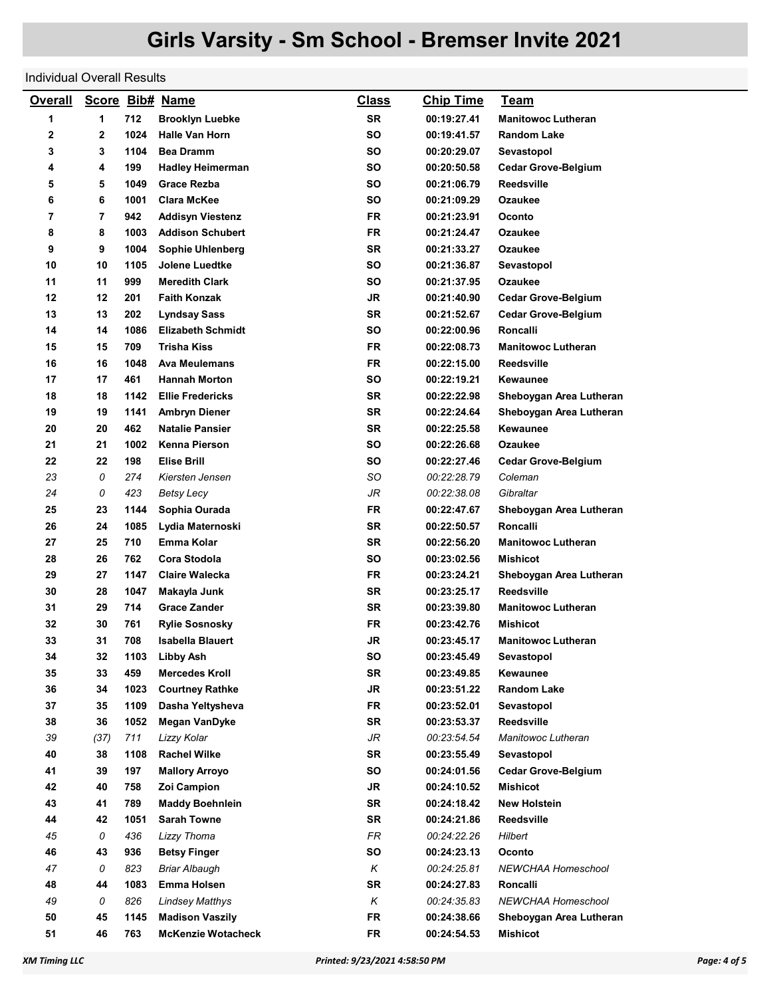Individual Overall Results

| <b>Overall</b> |      |      | Score Bib# Name           | <u>Class</u> | <b>Chip Time</b> | <u>Team</u>                |
|----------------|------|------|---------------------------|--------------|------------------|----------------------------|
| 1              | 1    | 712  | <b>Brooklyn Luebke</b>    | <b>SR</b>    | 00:19:27.41      | <b>Manitowoc Lutheran</b>  |
| 2              | 2    | 1024 | <b>Halle Van Horn</b>     | <b>SO</b>    | 00:19:41.57      | <b>Random Lake</b>         |
| 3              | 3    | 1104 | <b>Bea Dramm</b>          | SΟ           | 00:20:29.07      | Sevastopol                 |
| 4              | 4    | 199  | <b>Hadley Heimerman</b>   | <b>SO</b>    | 00:20:50.58      | <b>Cedar Grove-Belgium</b> |
| 5              | 5    | 1049 | <b>Grace Rezba</b>        | <b>SO</b>    | 00:21:06.79      | Reedsville                 |
| 6              | 6    | 1001 | <b>Clara McKee</b>        | SΟ           | 00:21:09.29      | Ozaukee                    |
| 7              | 7    | 942  | <b>Addisyn Viestenz</b>   | <b>FR</b>    | 00:21:23.91      | Oconto                     |
| 8              | 8    | 1003 | <b>Addison Schubert</b>   | FR           | 00:21:24.47      | Ozaukee                    |
| 9              | 9    | 1004 | Sophie Uhlenberg          | <b>SR</b>    | 00:21:33.27      | Ozaukee                    |
| 10             | 10   | 1105 | <b>Jolene Luedtke</b>     | <b>SO</b>    | 00:21:36.87      | Sevastopol                 |
| 11             | 11   | 999  | <b>Meredith Clark</b>     | <b>SO</b>    | 00:21:37.95      | Ozaukee                    |
| 12             | 12   | 201  | <b>Faith Konzak</b>       | <b>JR</b>    | 00:21:40.90      | <b>Cedar Grove-Belgium</b> |
| 13             | 13   | 202  | <b>Lyndsay Sass</b>       | <b>SR</b>    | 00:21:52.67      | <b>Cedar Grove-Belgium</b> |
| 14             | 14   | 1086 | <b>Elizabeth Schmidt</b>  | <b>SO</b>    | 00:22:00.96      | Roncalli                   |
| 15             | 15   | 709  | Trisha Kiss               | FR           | 00:22:08.73      | <b>Manitowoc Lutheran</b>  |
| 16             | 16   | 1048 | <b>Ava Meulemans</b>      | FR           | 00:22:15.00      | Reedsville                 |
| 17             | 17   | 461  | <b>Hannah Morton</b>      | SO           | 00:22:19.21      | Kewaunee                   |
| 18             | 18   | 1142 | <b>Ellie Fredericks</b>   | <b>SR</b>    | 00:22:22.98      | Sheboygan Area Lutheran    |
| 19             | 19   | 1141 | <b>Ambryn Diener</b>      | <b>SR</b>    | 00:22:24.64      | Sheboygan Area Lutheran    |
| 20             | 20   | 462  | <b>Natalie Pansier</b>    | <b>SR</b>    | 00:22:25.58      | Kewaunee                   |
| 21             | 21   | 1002 | Kenna Pierson             | <b>SO</b>    | 00:22:26.68      | Ozaukee                    |
| 22             | 22   | 198  | <b>Elise Brill</b>        | SΟ           | 00:22:27.46      | <b>Cedar Grove-Belgium</b> |
| 23             | 0    | 274  | Kiersten Jensen           | SO           | 00:22:28.79      | Coleman                    |
| 24             | 0    | 423  | Betsy Lecy                | JR           | 00:22:38.08      | Gibraltar                  |
| 25             | 23   | 1144 | Sophia Ourada             | FR           | 00:22:47.67      | Sheboygan Area Lutheran    |
| 26             | 24   | 1085 | Lydia Maternoski          | <b>SR</b>    | 00:22:50.57      | Roncalli                   |
| 27             | 25   | 710  | Emma Kolar                | <b>SR</b>    | 00:22:56.20      | <b>Manitowoc Lutheran</b>  |
| 28             | 26   | 762  | Cora Stodola              | SΟ           | 00:23:02.56      | Mishicot                   |
| 29             | 27   | 1147 | <b>Claire Walecka</b>     | <b>FR</b>    | 00:23:24.21      | Sheboygan Area Lutheran    |
| 30             | 28   | 1047 | Makayla Junk              | <b>SR</b>    | 00:23:25.17      | Reedsville                 |
| 31             | 29   | 714  | <b>Grace Zander</b>       | <b>SR</b>    | 00:23:39.80      | <b>Manitowoc Lutheran</b>  |
| 32             | 30   | 761  | <b>Rylie Sosnosky</b>     | <b>FR</b>    | 00:23:42.76      | <b>Mishicot</b>            |
| 33             | 31   | 708  | <b>Isabella Blauert</b>   | JR           | 00:23:45.17      | <b>Manitowoc Lutheran</b>  |
| 34             | 32   | 1103 | <b>Libby Ash</b>          | SO           | 00:23:45.49      | Sevastopol                 |
| 35             | 33   | 459  | <b>Mercedes Kroll</b>     | <b>SR</b>    | 00:23:49.85      | Kewaunee                   |
| 36             | 34   | 1023 | <b>Courtney Rathke</b>    | <b>JR</b>    | 00:23:51.22      | Random Lake                |
| 37             | 35   | 1109 | Dasha Yeltysheva          | <b>FR</b>    | 00:23:52.01      | Sevastopol                 |
| 38             | 36   | 1052 | <b>Megan VanDyke</b>      | <b>SR</b>    | 00:23:53.37      | <b>Reedsville</b>          |
| 39             | (37) | 711  | Lizzy Kolar               | JR           | 00:23:54.54      | Manitowoc Lutheran         |
| 40             | 38   | 1108 | <b>Rachel Wilke</b>       | <b>SR</b>    | 00:23:55.49      | Sevastopol                 |
| 41             | 39   | 197  | <b>Mallory Arroyo</b>     | SO           | 00:24:01.56      | <b>Cedar Grove-Belgium</b> |
| 42             | 40   | 758  | Zoi Campion               | <b>JR</b>    | 00:24:10.52      | Mishicot                   |
| 43             | 41   | 789  | <b>Maddy Boehnlein</b>    | <b>SR</b>    | 00:24:18.42      | New Holstein               |
| 44             | 42   | 1051 | <b>Sarah Towne</b>        | <b>SR</b>    | 00:24:21.86      | Reedsville                 |
| 45             | 0    | 436  | Lizzy Thoma               | FR           | 00:24:22.26      | Hilbert                    |
| 46             | 43   | 936  | <b>Betsy Finger</b>       | SO           | 00:24:23.13      | Oconto                     |
| 47             | 0    | 823  | <b>Briar Albaugh</b>      | Κ            | 00:24:25.81      | NEWCHAA Homeschool         |
| 48             | 44   | 1083 | <b>Emma Holsen</b>        | <b>SR</b>    | 00:24:27.83      | Roncalli                   |
| 49             | 0    | 826  | <b>Lindsey Matthys</b>    | Κ            | 00:24:35.83      | NEWCHAA Homeschool         |
| 50             | 45   | 1145 | <b>Madison Vaszily</b>    | FR           | 00:24:38.66      | Sheboygan Area Lutheran    |
| 51             | 46   | 763  | <b>McKenzie Wotacheck</b> | <b>FR</b>    | 00:24:54.53      | <b>Mishicot</b>            |